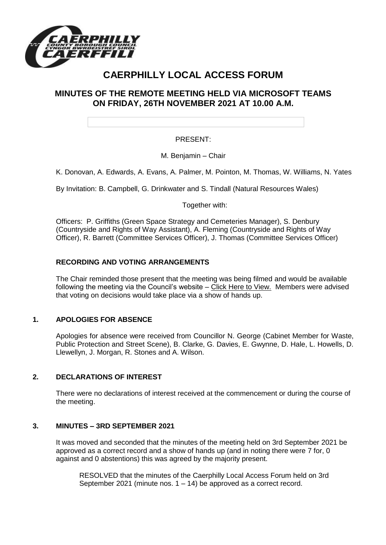

# **CAERPHILLY LOCAL ACCESS FORUM**

# **MINUTES OF THE REMOTE MEETING HELD VIA MICROSOFT TEAMS ON FRIDAY, 26TH NOVEMBER 2021 AT 10.00 A.M.**

## PRESENT:

M. Benjamin – Chair

K. Donovan, A. Edwards, A. Evans, A. Palmer, M. Pointon, M. Thomas, W. Williams, N. Yates

By Invitation: B. Campbell, G. Drinkwater and S. Tindall (Natural Resources Wales)

Together with:

Officers: P. Griffiths (Green Space Strategy and Cemeteries Manager), S. Denbury (Countryside and Rights of Way Assistant), A. Fleming (Countryside and Rights of Way Officer), R. Barrett (Committee Services Officer), J. Thomas (Committee Services Officer)

### **RECORDING AND VOTING ARRANGEMENTS**

The Chair reminded those present that the meeting was being filmed and would be available following the meeting via the Council's website – [Click Here to View.](https://www.caerphilly.gov.uk/My-Council/Meetings,-agendas,-minutes-and-reports/Council-meetings?lang=en-GB) Members were advised that voting on decisions would take place via a show of hands up.

### **1. APOLOGIES FOR ABSENCE**

Apologies for absence were received from Councillor N. George (Cabinet Member for Waste, Public Protection and Street Scene), B. Clarke, G. Davies, E. Gwynne, D. Hale, L. Howells, D. Llewellyn, J. Morgan, R. Stones and A. Wilson.

### **2. DECLARATIONS OF INTEREST**

There were no declarations of interest received at the commencement or during the course of the meeting.

#### **3. MINUTES – 3RD SEPTEMBER 2021**

It was moved and seconded that the minutes of the meeting held on 3rd September 2021 be approved as a correct record and a show of hands up (and in noting there were 7 for, 0 against and 0 abstentions) this was agreed by the majority present.

RESOLVED that the minutes of the Caerphilly Local Access Forum held on 3rd September 2021 (minute nos.  $1 - 14$ ) be approved as a correct record.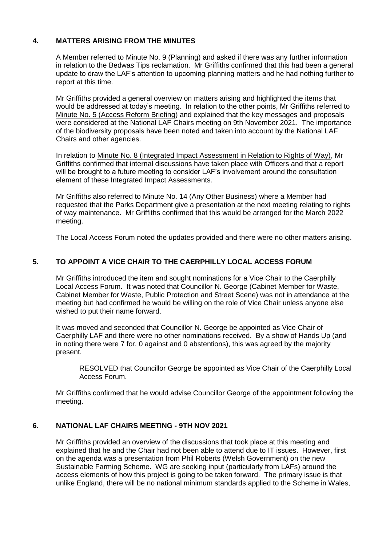## **4. MATTERS ARISING FROM THE MINUTES**

A Member referred to Minute No. 9 (Planning) and asked if there was any further information in relation to the Bedwas Tips reclamation. Mr Griffiths confirmed that this had been a general update to draw the LAF's attention to upcoming planning matters and he had nothing further to report at this time.

Mr Griffiths provided a general overview on matters arising and highlighted the items that would be addressed at today's meeting. In relation to the other points, Mr Griffiths referred to Minute No. 5 (Access Reform Briefing) and explained that the key messages and proposals were considered at the National LAF Chairs meeting on 9th November 2021. The importance of the biodiversity proposals have been noted and taken into account by the National LAF Chairs and other agencies.

In relation to Minute No. 8 (Integrated Impact Assessment in Relation to Rights of Way), Mr Griffiths confirmed that internal discussions have taken place with Officers and that a report will be brought to a future meeting to consider LAF's involvement around the consultation element of these Integrated Impact Assessments.

Mr Griffiths also referred to Minute No. 14 (Any Other Business) where a Member had requested that the Parks Department give a presentation at the next meeting relating to rights of way maintenance. Mr Griffiths confirmed that this would be arranged for the March 2022 meeting.

The Local Access Forum noted the updates provided and there were no other matters arising.

# **5. TO APPOINT A VICE CHAIR TO THE CAERPHILLY LOCAL ACCESS FORUM**

Mr Griffiths introduced the item and sought nominations for a Vice Chair to the Caerphilly Local Access Forum. It was noted that Councillor N. George (Cabinet Member for Waste, Cabinet Member for Waste, Public Protection and Street Scene) was not in attendance at the meeting but had confirmed he would be willing on the role of Vice Chair unless anyone else wished to put their name forward.

It was moved and seconded that Councillor N. George be appointed as Vice Chair of Caerphilly LAF and there were no other nominations received. By a show of Hands Up (and in noting there were 7 for, 0 against and 0 abstentions), this was agreed by the majority present.

RESOLVED that Councillor George be appointed as Vice Chair of the Caerphilly Local Access Forum.

Mr Griffiths confirmed that he would advise Councillor George of the appointment following the meeting.

# **6. NATIONAL LAF CHAIRS MEETING - 9TH NOV 2021**

Mr Griffiths provided an overview of the discussions that took place at this meeting and explained that he and the Chair had not been able to attend due to IT issues. However, first on the agenda was a presentation from Phil Roberts (Welsh Government) on the new Sustainable Farming Scheme. WG are seeking input (particularly from LAFs) around the access elements of how this project is going to be taken forward. The primary issue is that unlike England, there will be no national minimum standards applied to the Scheme in Wales,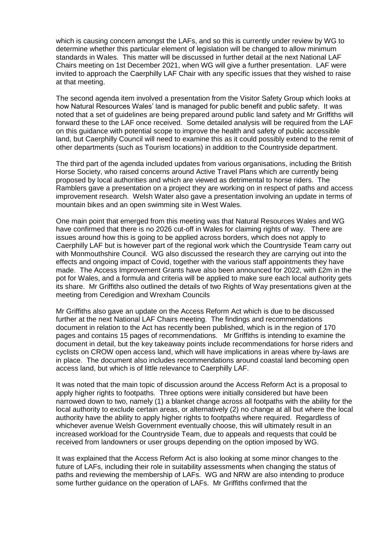which is causing concern amongst the LAFs, and so this is currently under review by WG to determine whether this particular element of legislation will be changed to allow minimum standards in Wales. This matter will be discussed in further detail at the next National LAF Chairs meeting on 1st December 2021, when WG will give a further presentation. LAF were invited to approach the Caerphilly LAF Chair with any specific issues that they wished to raise at that meeting.

The second agenda item involved a presentation from the Visitor Safety Group which looks at how Natural Resources Wales' land is managed for public benefit and public safety. It was noted that a set of guidelines are being prepared around public land safety and Mr Griffiths will forward these to the LAF once received. Some detailed analysis will be required from the LAF on this guidance with potential scope to improve the health and safety of public accessible land, but Caerphilly Council will need to examine this as it could possibly extend to the remit of other departments (such as Tourism locations) in addition to the Countryside department.

The third part of the agenda included updates from various organisations, including the British Horse Society, who raised concerns around Active Travel Plans which are currently being proposed by local authorities and which are viewed as detrimental to horse riders. The Ramblers gave a presentation on a project they are working on in respect of paths and access improvement research. Welsh Water also gave a presentation involving an update in terms of mountain bikes and an open swimming site in West Wales.

One main point that emerged from this meeting was that Natural Resources Wales and WG have confirmed that there is no 2026 cut-off in Wales for claiming rights of way. There are issues around how this is going to be applied across borders, which does not apply to Caerphilly LAF but is however part of the regional work which the Countryside Team carry out with Monmouthshire Council. WG also discussed the research they are carrying out into the effects and ongoing impact of Covid, together with the various staff appointments they have made. The Access Improvement Grants have also been announced for 2022, with £2m in the pot for Wales, and a formula and criteria will be applied to make sure each local authority gets its share. Mr Griffiths also outlined the details of two Rights of Way presentations given at the meeting from Ceredigion and Wrexham Councils

Mr Griffiths also gave an update on the Access Reform Act which is due to be discussed further at the next National LAF Chairs meeting. The findings and recommendations document in relation to the Act has recently been published, which is in the region of 170 pages and contains 15 pages of recommendations. Mr Griffiths is intending to examine the document in detail, but the key takeaway points include recommendations for horse riders and cyclists on CROW open access land, which will have implications in areas where by-laws are in place. The document also includes recommendations around coastal land becoming open access land, but which is of little relevance to Caerphilly LAF.

It was noted that the main topic of discussion around the Access Reform Act is a proposal to apply higher rights to footpaths. Three options were initially considered but have been narrowed down to two, namely (1) a blanket change across all footpaths with the ability for the local authority to exclude certain areas, or alternatively (2) no change at all but where the local authority have the ability to apply higher rights to footpaths where required. Regardless of whichever avenue Welsh Government eventually choose, this will ultimately result in an increased workload for the Countryside Team, due to appeals and requests that could be received from landowners or user groups depending on the option imposed by WG.

It was explained that the Access Reform Act is also looking at some minor changes to the future of LAFs, including their role in suitability assessments when changing the status of paths and reviewing the membership of LAFs. WG and NRW are also intending to produce some further guidance on the operation of LAFs. Mr Griffiths confirmed that the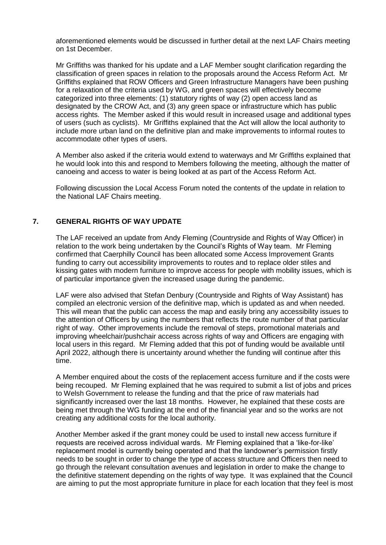aforementioned elements would be discussed in further detail at the next LAF Chairs meeting on 1st December.

Mr Griffiths was thanked for his update and a LAF Member sought clarification regarding the classification of green spaces in relation to the proposals around the Access Reform Act. Mr Griffiths explained that ROW Officers and Green Infrastructure Managers have been pushing for a relaxation of the criteria used by WG, and green spaces will effectively become categorized into three elements: (1) statutory rights of way (2) open access land as designated by the CROW Act, and (3) any green space or infrastructure which has public access rights. The Member asked if this would result in increased usage and additional types of users (such as cyclists). Mr Griffiths explained that the Act will allow the local authority to include more urban land on the definitive plan and make improvements to informal routes to accommodate other types of users.

A Member also asked if the criteria would extend to waterways and Mr Griffiths explained that he would look into this and respond to Members following the meeting, although the matter of canoeing and access to water is being looked at as part of the Access Reform Act.

Following discussion the Local Access Forum noted the contents of the update in relation to the National LAF Chairs meeting.

### **7. GENERAL RIGHTS OF WAY UPDATE**

The LAF received an update from Andy Fleming (Countryside and Rights of Way Officer) in relation to the work being undertaken by the Council's Rights of Way team. Mr Fleming confirmed that Caerphilly Council has been allocated some Access Improvement Grants funding to carry out accessibility improvements to routes and to replace older stiles and kissing gates with modern furniture to improve access for people with mobility issues, which is of particular importance given the increased usage during the pandemic.

LAF were also advised that Stefan Denbury (Countryside and Rights of Way Assistant) has compiled an electronic version of the definitive map, which is updated as and when needed. This will mean that the public can access the map and easily bring any accessibility issues to the attention of Officers by using the numbers that reflects the route number of that particular right of way. Other improvements include the removal of steps, promotional materials and improving wheelchair/pushchair access across rights of way and Officers are engaging with local users in this regard. Mr Fleming added that this pot of funding would be available until April 2022, although there is uncertainty around whether the funding will continue after this time.

A Member enquired about the costs of the replacement access furniture and if the costs were being recouped. Mr Fleming explained that he was required to submit a list of jobs and prices to Welsh Government to release the funding and that the price of raw materials had significantly increased over the last 18 months. However, he explained that these costs are being met through the WG funding at the end of the financial year and so the works are not creating any additional costs for the local authority.

Another Member asked if the grant money could be used to install new access furniture if requests are received across individual wards. Mr Fleming explained that a 'like-for-like' replacement model is currently being operated and that the landowner's permission firstly needs to be sought in order to change the type of access structure and Officers then need to go through the relevant consultation avenues and legislation in order to make the change to the definitive statement depending on the rights of way type. It was explained that the Council are aiming to put the most appropriate furniture in place for each location that they feel is most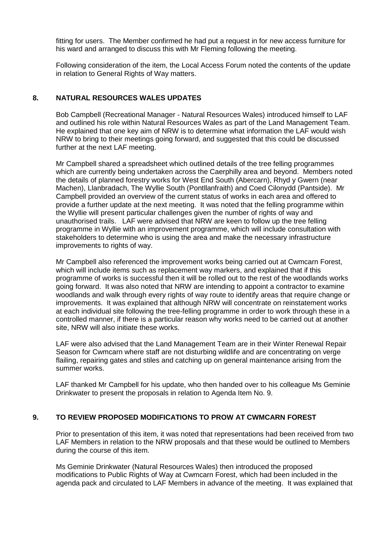fitting for users. The Member confirmed he had put a request in for new access furniture for his ward and arranged to discuss this with Mr Fleming following the meeting.

Following consideration of the item, the Local Access Forum noted the contents of the update in relation to General Rights of Way matters.

## **8. NATURAL RESOURCES WALES UPDATES**

Bob Campbell (Recreational Manager - Natural Resources Wales) introduced himself to LAF and outlined his role within Natural Resources Wales as part of the Land Management Team. He explained that one key aim of NRW is to determine what information the LAF would wish NRW to bring to their meetings going forward, and suggested that this could be discussed further at the next LAF meeting.

Mr Campbell shared a spreadsheet which outlined details of the tree felling programmes which are currently being undertaken across the Caerphilly area and beyond. Members noted the details of planned forestry works for West End South (Abercarn), Rhyd y Gwern (near Machen), Llanbradach, The Wyllie South (Pontllanfraith) and Coed Cilonydd (Pantside). Mr Campbell provided an overview of the current status of works in each area and offered to provide a further update at the next meeting. It was noted that the felling programme within the Wyllie will present particular challenges given the number of rights of way and unauthorised trails. LAF were advised that NRW are keen to follow up the tree felling programme in Wyllie with an improvement programme, which will include consultation with stakeholders to determine who is using the area and make the necessary infrastructure improvements to rights of way.

Mr Campbell also referenced the improvement works being carried out at Cwmcarn Forest, which will include items such as replacement way markers, and explained that if this programme of works is successful then it will be rolled out to the rest of the woodlands works going forward. It was also noted that NRW are intending to appoint a contractor to examine woodlands and walk through every rights of way route to identify areas that require change or improvements. It was explained that although NRW will concentrate on reinstatement works at each individual site following the tree-felling programme in order to work through these in a controlled manner, if there is a particular reason why works need to be carried out at another site, NRW will also initiate these works.

LAF were also advised that the Land Management Team are in their Winter Renewal Repair Season for Cwmcarn where staff are not disturbing wildlife and are concentrating on verge flailing, repairing gates and stiles and catching up on general maintenance arising from the summer works.

LAF thanked Mr Campbell for his update, who then handed over to his colleague Ms Geminie Drinkwater to present the proposals in relation to Agenda Item No. 9.

### **9. TO REVIEW PROPOSED MODIFICATIONS TO PROW AT CWMCARN FOREST**

Prior to presentation of this item, it was noted that representations had been received from two LAF Members in relation to the NRW proposals and that these would be outlined to Members during the course of this item.

Ms Geminie Drinkwater (Natural Resources Wales) then introduced the proposed modifications to Public Rights of Way at Cwmcarn Forest, which had been included in the agenda pack and circulated to LAF Members in advance of the meeting. It was explained that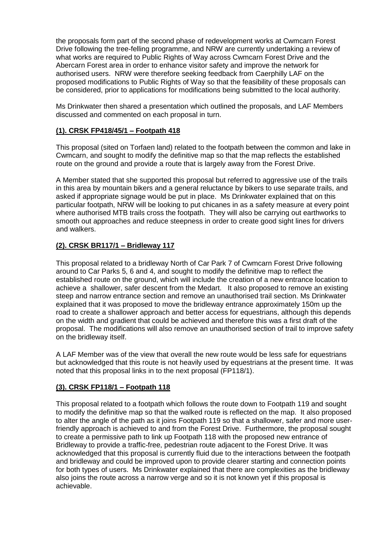the proposals form part of the second phase of redevelopment works at Cwmcarn Forest Drive following the tree-felling programme, and NRW are currently undertaking a review of what works are required to Public Rights of Way across Cwmcarn Forest Drive and the Abercarn Forest area in order to enhance visitor safety and improve the network for authorised users. NRW were therefore seeking feedback from Caerphilly LAF on the proposed modifications to Public Rights of Way so that the feasibility of these proposals can be considered, prior to applications for modifications being submitted to the local authority.

Ms Drinkwater then shared a presentation which outlined the proposals, and LAF Members discussed and commented on each proposal in turn.

# **(1). CRSK FP418/45/1 – Footpath 418**

This proposal (sited on Torfaen land) related to the footpath between the common and lake in Cwmcarn, and sought to modify the definitive map so that the map reflects the established route on the ground and provide a route that is largely away from the Forest Drive.

A Member stated that she supported this proposal but referred to aggressive use of the trails in this area by mountain bikers and a general reluctance by bikers to use separate trails, and asked if appropriate signage would be put in place. Ms Drinkwater explained that on this particular footpath, NRW will be looking to put chicanes in as a safety measure at every point where authorised MTB trails cross the footpath. They will also be carrying out earthworks to smooth out approaches and reduce steepness in order to create good sight lines for drivers and walkers.

# **(2). CRSK BR117/1 – Bridleway 117**

This proposal related to a bridleway North of Car Park 7 of Cwmcarn Forest Drive following around to Car Parks 5, 6 and 4, and sought to modify the definitive map to reflect the established route on the ground, which will include the creation of a new entrance location to achieve a shallower, safer descent from the Medart. It also proposed to remove an existing steep and narrow entrance section and remove an unauthorised trail section. Ms Drinkwater explained that it was proposed to move the bridleway entrance approximately 150m up the road to create a shallower approach and better access for equestrians, although this depends on the width and gradient that could be achieved and therefore this was a first draft of the proposal. The modifications will also remove an unauthorised section of trail to improve safety on the bridleway itself.

A LAF Member was of the view that overall the new route would be less safe for equestrians but acknowledged that this route is not heavily used by equestrians at the present time. It was noted that this proposal links in to the next proposal (FP118/1).

### **(3). CRSK FP118/1 – Footpath 118**

This proposal related to a footpath which follows the route down to Footpath 119 and sought to modify the definitive map so that the walked route is reflected on the map. It also proposed to alter the angle of the path as it joins Footpath 119 so that a shallower, safer and more userfriendly approach is achieved to and from the Forest Drive. Furthermore, the proposal sought to create a permissive path to link up Footpath 118 with the proposed new entrance of Bridleway to provide a traffic-free, pedestrian route adjacent to the Forest Drive. It was acknowledged that this proposal is currently fluid due to the interactions between the footpath and bridleway and could be improved upon to provide clearer starting and connection points for both types of users. Ms Drinkwater explained that there are complexities as the bridleway also joins the route across a narrow verge and so it is not known yet if this proposal is achievable.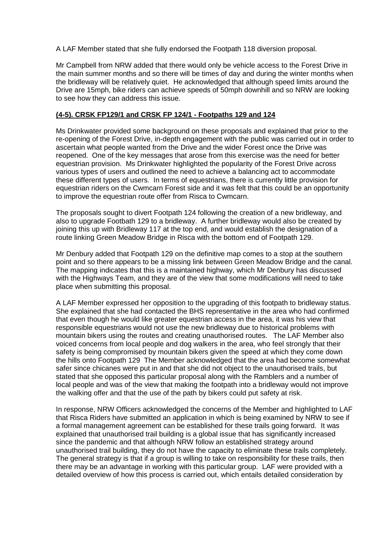A LAF Member stated that she fully endorsed the Footpath 118 diversion proposal.

Mr Campbell from NRW added that there would only be vehicle access to the Forest Drive in the main summer months and so there will be times of day and during the winter months when the bridleway will be relatively quiet. He acknowledged that although speed limits around the Drive are 15mph, bike riders can achieve speeds of 50mph downhill and so NRW are looking to see how they can address this issue.

### **(4-5). CRSK FP129/1 and CRSK FP 124/1 - Footpaths 129 and 124**

Ms Drinkwater provided some background on these proposals and explained that prior to the re-opening of the Forest Drive, in-depth engagement with the public was carried out in order to ascertain what people wanted from the Drive and the wider Forest once the Drive was reopened. One of the key messages that arose from this exercise was the need for better equestrian provision. Ms Drinkwater highlighted the popularity of the Forest Drive across various types of users and outlined the need to achieve a balancing act to accommodate these different types of users. In terms of equestrians, there is currently little provision for equestrian riders on the Cwmcarn Forest side and it was felt that this could be an opportunity to improve the equestrian route offer from Risca to Cwmcarn.

The proposals sought to divert Footpath 124 following the creation of a new bridleway, and also to upgrade Footbath 129 to a bridleway. A further bridleway would also be created by joining this up with Bridleway 117 at the top end, and would establish the designation of a route linking Green Meadow Bridge in Risca with the bottom end of Footpath 129.

Mr Denbury added that Footpath 129 on the definitive map comes to a stop at the southern point and so there appears to be a missing link between Green Meadow Bridge and the canal. The mapping indicates that this is a maintained highway, which Mr Denbury has discussed with the Highways Team, and they are of the view that some modifications will need to take place when submitting this proposal.

A LAF Member expressed her opposition to the upgrading of this footpath to bridleway status. She explained that she had contacted the BHS representative in the area who had confirmed that even though he would like greater equestrian access in the area, it was his view that responsible equestrians would not use the new bridleway due to historical problems with mountain bikers using the routes and creating unauthorised routes. The LAF Member also voiced concerns from local people and dog walkers in the area, who feel strongly that their safety is being compromised by mountain bikers given the speed at which they come down the hills onto Footpath 129 The Member acknowledged that the area had become somewhat safer since chicanes were put in and that she did not object to the unauthorised trails, but stated that she opposed this particular proposal along with the Ramblers and a number of local people and was of the view that making the footpath into a bridleway would not improve the walking offer and that the use of the path by bikers could put safety at risk.

In response, NRW Officers acknowledged the concerns of the Member and highlighted to LAF that Risca Riders have submitted an application in which is being examined by NRW to see if a formal management agreement can be established for these trails going forward. It was explained that unauthorised trail building is a global issue that has significantly increased since the pandemic and that although NRW follow an established strategy around unauthorised trail building, they do not have the capacity to eliminate these trails completely. The general strategy is that if a group is willing to take on responsibility for these trails, then there may be an advantage in working with this particular group. LAF were provided with a detailed overview of how this process is carried out, which entails detailed consideration by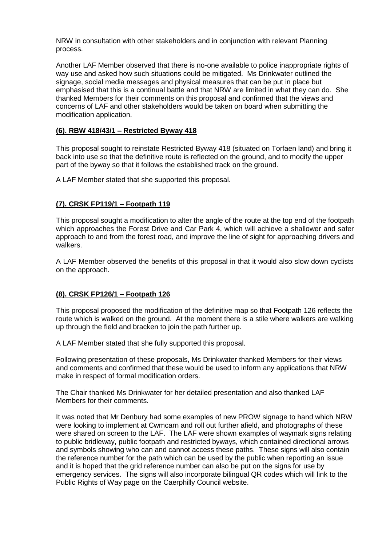NRW in consultation with other stakeholders and in conjunction with relevant Planning process.

Another LAF Member observed that there is no-one available to police inappropriate rights of way use and asked how such situations could be mitigated. Ms Drinkwater outlined the signage, social media messages and physical measures that can be put in place but emphasised that this is a continual battle and that NRW are limited in what they can do. She thanked Members for their comments on this proposal and confirmed that the views and concerns of LAF and other stakeholders would be taken on board when submitting the modification application.

## **(6). RBW 418/43/1 – Restricted Byway 418**

This proposal sought to reinstate Restricted Byway 418 (situated on Torfaen land) and bring it back into use so that the definitive route is reflected on the ground, and to modify the upper part of the byway so that it follows the established track on the ground.

A LAF Member stated that she supported this proposal.

## **(7). CRSK FP119/1 – Footpath 119**

This proposal sought a modification to alter the angle of the route at the top end of the footpath which approaches the Forest Drive and Car Park 4, which will achieve a shallower and safer approach to and from the forest road, and improve the line of sight for approaching drivers and walkers.

A LAF Member observed the benefits of this proposal in that it would also slow down cyclists on the approach.

### **(8). CRSK FP126/1 – Footpath 126**

This proposal proposed the modification of the definitive map so that Footpath 126 reflects the route which is walked on the ground. At the moment there is a stile where walkers are walking up through the field and bracken to join the path further up.

A LAF Member stated that she fully supported this proposal.

Following presentation of these proposals, Ms Drinkwater thanked Members for their views and comments and confirmed that these would be used to inform any applications that NRW make in respect of formal modification orders.

The Chair thanked Ms Drinkwater for her detailed presentation and also thanked LAF Members for their comments.

It was noted that Mr Denbury had some examples of new PROW signage to hand which NRW were looking to implement at Cwmcarn and roll out further afield, and photographs of these were shared on screen to the LAF. The LAF were shown examples of waymark signs relating to public bridleway, public footpath and restricted byways, which contained directional arrows and symbols showing who can and cannot access these paths. These signs will also contain the reference number for the path which can be used by the public when reporting an issue and it is hoped that the grid reference number can also be put on the signs for use by emergency services. The signs will also incorporate bilingual QR codes which will link to the Public Rights of Way page on the Caerphilly Council website.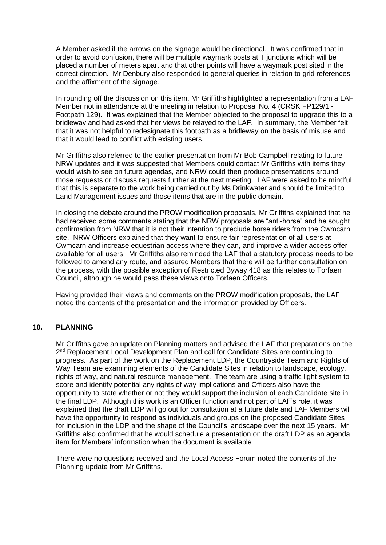A Member asked if the arrows on the signage would be directional. It was confirmed that in order to avoid confusion, there will be multiple waymark posts at T junctions which will be placed a number of meters apart and that other points will have a waymark post sited in the correct direction. Mr Denbury also responded to general queries in relation to grid references and the affixment of the signage.

In rounding off the discussion on this item, Mr Griffiths highlighted a representation from a LAF Member not in attendance at the meeting in relation to Proposal No. 4 (CRSK FP129/1 - Footpath 129). It was explained that the Member objected to the proposal to upgrade this to a bridleway and had asked that her views be relayed to the LAF. In summary, the Member felt that it was not helpful to redesignate this footpath as a bridleway on the basis of misuse and that it would lead to conflict with existing users.

Mr Griffiths also referred to the earlier presentation from Mr Bob Campbell relating to future NRW updates and it was suggested that Members could contact Mr Griffiths with items they would wish to see on future agendas, and NRW could then produce presentations around those requests or discuss requests further at the next meeting. LAF were asked to be mindful that this is separate to the work being carried out by Ms Drinkwater and should be limited to Land Management issues and those items that are in the public domain.

In closing the debate around the PROW modification proposals, Mr Griffiths explained that he had received some comments stating that the NRW proposals are "anti-horse" and he sought confirmation from NRW that it is not their intention to preclude horse riders from the Cwmcarn site. NRW Officers explained that they want to ensure fair representation of all users at Cwmcarn and increase equestrian access where they can, and improve a wider access offer available for all users. Mr Griffiths also reminded the LAF that a statutory process needs to be followed to amend any route, and assured Members that there will be further consultation on the process, with the possible exception of Restricted Byway 418 as this relates to Torfaen Council, although he would pass these views onto Torfaen Officers.

Having provided their views and comments on the PROW modification proposals, the LAF noted the contents of the presentation and the information provided by Officers.

### **10. PLANNING**

Mr Griffiths gave an update on Planning matters and advised the LAF that preparations on the 2<sup>nd</sup> Replacement Local Development Plan and call for Candidate Sites are continuing to progress. As part of the work on the Replacement LDP, the Countryside Team and Rights of Way Team are examining elements of the Candidate Sites in relation to landscape, ecology, rights of way, and natural resource management. The team are using a traffic light system to score and identify potential any rights of way implications and Officers also have the opportunity to state whether or not they would support the inclusion of each Candidate site in the final LDP. Although this work is an Officer function and not part of LAF's role, it was explained that the draft LDP will go out for consultation at a future date and LAF Members will have the opportunity to respond as individuals and groups on the proposed Candidate Sites for inclusion in the LDP and the shape of the Council's landscape over the next 15 years. Mr Griffiths also confirmed that he would schedule a presentation on the draft LDP as an agenda item for Members' information when the document is available.

There were no questions received and the Local Access Forum noted the contents of the Planning update from Mr Griffiths.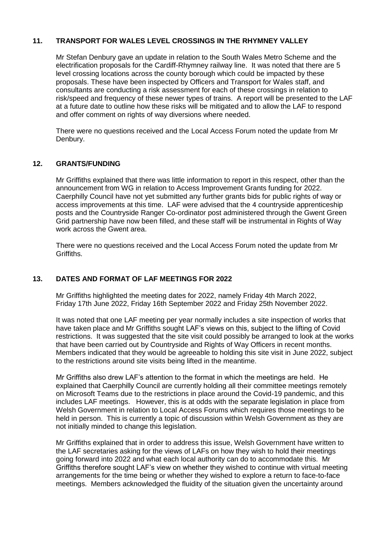### **11. TRANSPORT FOR WALES LEVEL CROSSINGS IN THE RHYMNEY VALLEY**

Mr Stefan Denbury gave an update in relation to the South Wales Metro Scheme and the electrification proposals for the Cardiff-Rhymney railway line. It was noted that there are 5 level crossing locations across the county borough which could be impacted by these proposals. These have been inspected by Officers and Transport for Wales staff, and consultants are conducting a risk assessment for each of these crossings in relation to risk/speed and frequency of these newer types of trains. A report will be presented to the LAF at a future date to outline how these risks will be mitigated and to allow the LAF to respond and offer comment on rights of way diversions where needed.

There were no questions received and the Local Access Forum noted the update from Mr Denbury.

#### **12. GRANTS/FUNDING**

Mr Griffiths explained that there was little information to report in this respect, other than the announcement from WG in relation to Access Improvement Grants funding for 2022. Caerphilly Council have not yet submitted any further grants bids for public rights of way or access improvements at this time. LAF were advised that the 4 countryside apprenticeship posts and the Countryside Ranger Co-ordinator post administered through the Gwent Green Grid partnership have now been filled, and these staff will be instrumental in Rights of Way work across the Gwent area.

There were no questions received and the Local Access Forum noted the update from Mr Griffiths.

### **13. DATES AND FORMAT OF LAF MEETINGS FOR 2022**

Mr Griffiths highlighted the meeting dates for 2022, namely Friday 4th March 2022, Friday 17th June 2022, Friday 16th September 2022 and Friday 25th November 2022.

It was noted that one LAF meeting per year normally includes a site inspection of works that have taken place and Mr Griffiths sought LAF's views on this, subject to the lifting of Covid restrictions. It was suggested that the site visit could possibly be arranged to look at the works that have been carried out by Countryside and Rights of Way Officers in recent months. Members indicated that they would be agreeable to holding this site visit in June 2022, subject to the restrictions around site visits being lifted in the meantime.

Mr Griffiths also drew LAF's attention to the format in which the meetings are held. He explained that Caerphilly Council are currently holding all their committee meetings remotely on Microsoft Teams due to the restrictions in place around the Covid-19 pandemic, and this includes LAF meetings. However, this is at odds with the separate legislation in place from Welsh Government in relation to Local Access Forums which requires those meetings to be held in person. This is currently a topic of discussion within Welsh Government as they are not initially minded to change this legislation.

Mr Griffiths explained that in order to address this issue, Welsh Government have written to the LAF secretaries asking for the views of LAFs on how they wish to hold their meetings going forward into 2022 and what each local authority can do to accommodate this. Mr Griffiths therefore sought LAF's view on whether they wished to continue with virtual meeting arrangements for the time being or whether they wished to explore a return to face-to-face meetings. Members acknowledged the fluidity of the situation given the uncertainty around